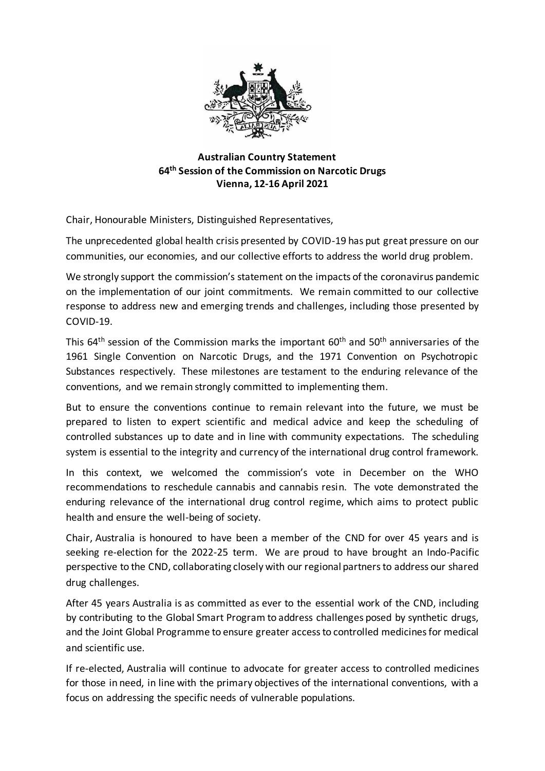

## **Australian Country Statement 64th Session of the Commission on Narcotic Drugs Vienna, 12-16 April 2021**

Chair, Honourable Ministers, Distinguished Representatives,

The unprecedented global health crisis presented by COVID-19 has put great pressure on our communities, our economies, and our collective efforts to address the world drug problem.

We strongly support the commission's statement on the impacts of the coronavirus pandemic on the implementation of our joint commitments. We remain committed to our collective response to address new and emerging trends and challenges, including those presented by COVID-19.

This  $64<sup>th</sup>$  session of the Commission marks the important  $60<sup>th</sup>$  and  $50<sup>th</sup>$  anniversaries of the 1961 Single Convention on Narcotic Drugs, and the 1971 Convention on Psychotropic Substances respectively. These milestones are testament to the enduring relevance of the conventions, and we remain strongly committed to implementing them.

But to ensure the conventions continue to remain relevant into the future, we must be prepared to listen to expert scientific and medical advice and keep the scheduling of controlled substances up to date and in line with community expectations. The scheduling system is essential to the integrity and currency of the international drug control framework.

In this context, we welcomed the commission's vote in December on the WHO recommendations to reschedule cannabis and cannabis resin. The vote demonstrated the enduring relevance of the international drug control regime, which aims to protect public health and ensure the well-being of society.

Chair, Australia is honoured to have been a member of the CND for over 45 years and is seeking re-election for the 2022-25 term. We are proud to have brought an Indo-Pacific perspective to the CND, collaborating closely with our regional partners to address our shared drug challenges.

After 45 years Australia is as committed as ever to the essential work of the CND, including by contributing to the Global Smart Program to address challenges posed by synthetic drugs, and the Joint Global Programme to ensure greater access to controlled medicines for medical and scientific use.

If re-elected, Australia will continue to advocate for greater access to controlled medicines for those in need, in line with the primary objectives of the international conventions, with a focus on addressing the specific needs of vulnerable populations.